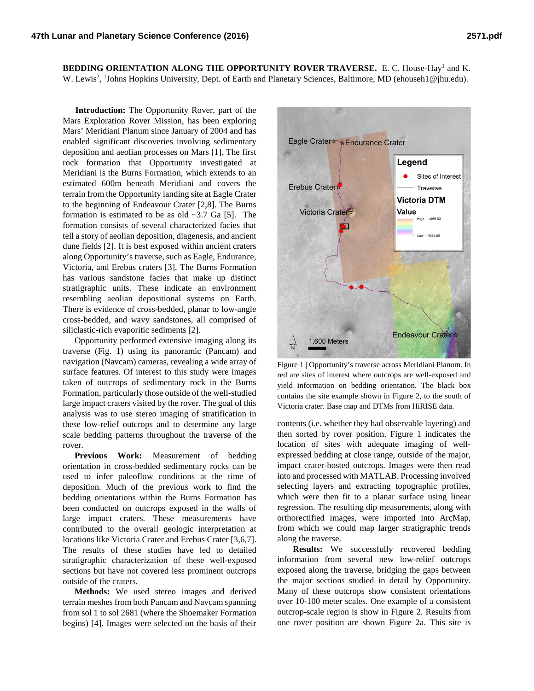**BEDDING ORIENTATION ALONG THE OPPORTUNITY ROVER TRAVERSE.** E. C. House-Hay1 and K. W. Lewis<sup>2</sup>, <sup>1</sup>Johns Hopkins University, Dept. of Earth and Planetary Sciences, Baltimore, MD (ehouseh1@jhu.edu).

**Introduction:** The Opportunity Rover, part of the Mars Exploration Rover Mission, has been exploring Mars' Meridiani Planum since January of 2004 and has enabled significant discoveries involving sedimentary deposition and aeolian processes on Mars [1]. The first rock formation that Opportunity investigated at Meridiani is the Burns Formation, which extends to an estimated 600m beneath Meridiani and covers the terrain from the Opportunity landing site at Eagle Crater to the beginning of Endeavour Crater [2,8]. The Burns formation is estimated to be as old  $\sim$ 3.7 Ga [5]. The formation consists of several characterized facies that tell a story of aeolian deposition, diagenesis, and ancient dune fields [2]. It is best exposed within ancient craters along Opportunity's traverse, such as Eagle, Endurance, Victoria, and Erebus craters [3]. The Burns Formation has various sandstone facies that make up distinct stratigraphic units. These indicate an environment resembling aeolian depositional systems on Earth. There is evidence of cross-bedded, planar to low-angle cross-bedded, and wavy sandstones, all comprised of siliclastic-rich evaporitic sediments [2].

Opportunity performed extensive imaging along its traverse (Fig. 1) using its panoramic (Pancam) and navigation (Navcam) cameras, revealing a wide array of surface features. Of interest to this study were images taken of outcrops of sedimentary rock in the Burns Formation, particularly those outside of the well-studied large impact craters visited by the rover. The goal of this analysis was to use stereo imaging of stratification in these low-relief outcrops and to determine any large scale bedding patterns throughout the traverse of the rover.

**Previous Work:** Measurement of bedding orientation in cross-bedded sedimentary rocks can be used to infer paleoflow conditions at the time of deposition. Much of the previous work to find the bedding orientations within the Burns Formation has been conducted on outcrops exposed in the walls of large impact craters. These measurements have contributed to the overall geologic interpretation at locations like Victoria Crater and Erebus Crater [3,6,7]. The results of these studies have led to detailed stratigraphic characterization of these well-exposed sections but have not covered less prominent outcrops outside of the craters.

**Methods:** We used stereo images and derived terrain meshes from both Pancam and Navcam spanning from sol 1 to sol 2681 (where the Shoemaker Formation begins) [4]. Images were selected on the basis of their



Figure 1 | Opportunity's traverse across Meridiani Planum. In red are sites of interest where outcrops are well-exposed and yield information on bedding orientation. The black box contains the site example shown in Figure 2, to the south of Victoria crater. Base map and DTMs from HiRISE data.

contents (i.e. whether they had observable layering) and then sorted by rover position. Figure 1 indicates the location of sites with adequate imaging of wellexpressed bedding at close range, outside of the major, impact crater-hosted outcrops. Images were then read into and processed with MATLAB. Processing involved selecting layers and extracting topographic profiles, which were then fit to a planar surface using linear regression. The resulting dip measurements, along with orthorectified images, were imported into ArcMap, from which we could map larger stratigraphic trends along the traverse.

**Results:** We successfully recovered bedding information from several new low-relief outcrops exposed along the traverse, bridging the gaps between the major sections studied in detail by Opportunity. Many of these outcrops show consistent orientations over 10-100 meter scales. One example of a consistent outcrop-scale region is show in Figure 2. Results from one rover position are shown Figure 2a. This site is